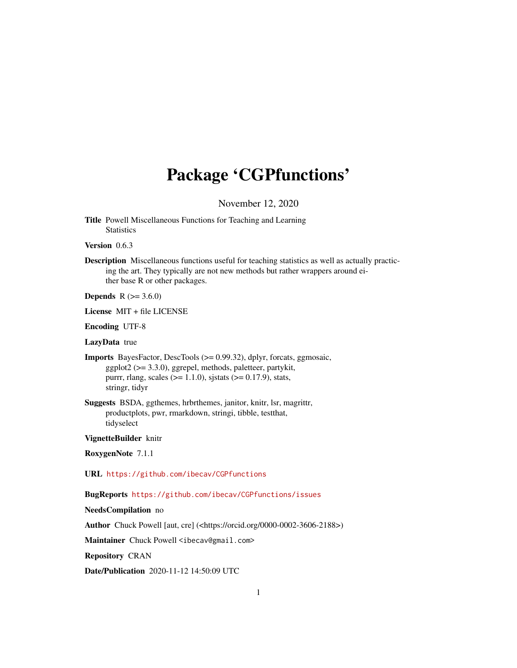## Package 'CGPfunctions'

November 12, 2020

<span id="page-0-0"></span>Title Powell Miscellaneous Functions for Teaching and Learning **Statistics** 

Version 0.6.3

Description Miscellaneous functions useful for teaching statistics as well as actually practicing the art. They typically are not new methods but rather wrappers around either base R or other packages.

**Depends**  $R$  ( $> = 3.6.0$ )

License MIT + file LICENSE

Encoding UTF-8

LazyData true

Imports BayesFactor, DescTools (>= 0.99.32), dplyr, forcats, ggmosaic, ggplot2 (>= 3.3.0), ggrepel, methods, paletteer, partykit, purrr, rlang, scales ( $>= 1.1.0$ ), sjstats ( $>= 0.17.9$ ), stats, stringr, tidyr

Suggests BSDA, ggthemes, hrbrthemes, janitor, knitr, lsr, magrittr, productplots, pwr, rmarkdown, stringi, tibble, testthat, tidyselect

VignetteBuilder knitr

RoxygenNote 7.1.1

URL <https://github.com/ibecav/CGPfunctions>

BugReports <https://github.com/ibecav/CGPfunctions/issues>

NeedsCompilation no

Author Chuck Powell [aut, cre] (<https://orcid.org/0000-0002-3606-2188>)

Maintainer Chuck Powell <ibecav@gmail.com>

Repository CRAN

Date/Publication 2020-11-12 14:50:09 UTC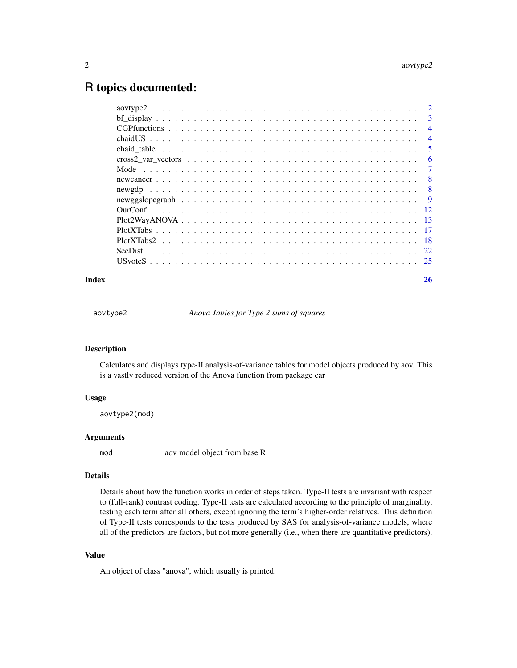## <span id="page-1-0"></span>R topics documented:

| 3              |
|----------------|
| $\overline{4}$ |
| $\overline{4}$ |
| 5              |
| 6              |
| 7              |
| -8             |
| -8             |
| - 9            |
|                |
|                |
|                |
|                |
|                |
|                |
|                |

#### **Index** [26](#page-25-0)

aovtype2 *Anova Tables for Type 2 sums of squares*

#### Description

Calculates and displays type-II analysis-of-variance tables for model objects produced by aov. This is a vastly reduced version of the Anova function from package car

#### Usage

aovtype2(mod)

## Arguments

mod aov model object from base R.

#### Details

Details about how the function works in order of steps taken. Type-II tests are invariant with respect to (full-rank) contrast coding. Type-II tests are calculated according to the principle of marginality, testing each term after all others, except ignoring the term's higher-order relatives. This definition of Type-II tests corresponds to the tests produced by SAS for analysis-of-variance models, where all of the predictors are factors, but not more generally (i.e., when there are quantitative predictors).

## Value

An object of class "anova", which usually is printed.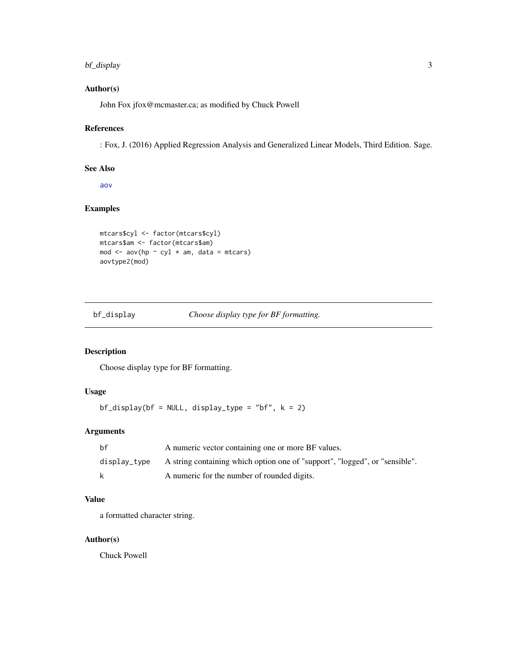## <span id="page-2-0"></span>bf\_display 3

## Author(s)

John Fox jfox@mcmaster.ca; as modified by Chuck Powell

#### References

: Fox, J. (2016) Applied Regression Analysis and Generalized Linear Models, Third Edition. Sage.

#### See Also

[aov](#page-0-0)

## Examples

```
mtcars$cyl <- factor(mtcars$cyl)
mtcars$am <- factor(mtcars$am)
mod \leq aov(hp \sim cyl \star am, data = mtcars)
aovtype2(mod)
```
bf\_display *Choose display type for BF formatting.*

## Description

Choose display type for BF formatting.

#### Usage

 $bf\_display(bf = NULL, display\_type = "bf", k = 2)$ 

## Arguments

| bf           | A numeric vector containing one or more BF values.                          |
|--------------|-----------------------------------------------------------------------------|
| display_type | A string containing which option one of "support", "logged", or "sensible". |
| k            | A numeric for the number of rounded digits.                                 |

## Value

a formatted character string.

## Author(s)

Chuck Powell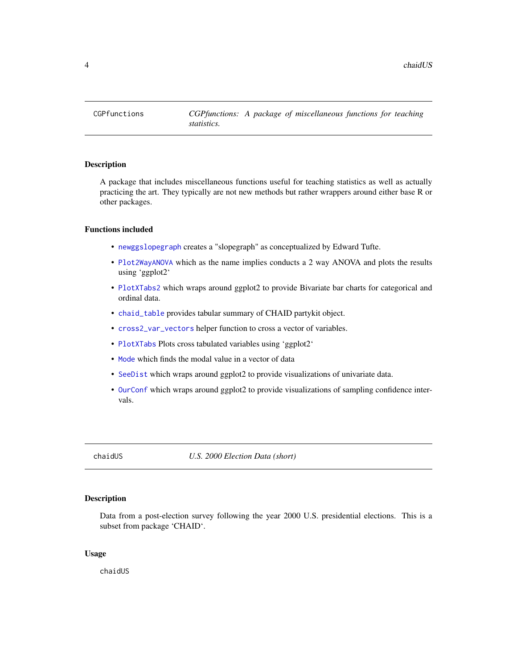<span id="page-3-0"></span>

#### Description

A package that includes miscellaneous functions useful for teaching statistics as well as actually practicing the art. They typically are not new methods but rather wrappers around either base R or other packages.

#### Functions included

- [newggslopegraph](#page-8-1) creates a "slopegraph" as conceptualized by Edward Tufte.
- [Plot2WayANOVA](#page-12-1) which as the name implies conducts a 2 way ANOVA and plots the results using 'ggplot2'
- [PlotXTabs2](#page-17-1) which wraps around ggplot2 to provide Bivariate bar charts for categorical and ordinal data.
- [chaid\\_table](#page-4-1) provides tabular summary of CHAID partykit object.
- [cross2\\_var\\_vectors](#page-5-1) helper function to cross a vector of variables.
- [PlotXTabs](#page-16-1) Plots cross tabulated variables using 'ggplot2'
- [Mode](#page-6-1) which finds the modal value in a vector of data
- [SeeDist](#page-21-1) which wraps around ggplot2 to provide visualizations of univariate data.
- [OurConf](#page-11-1) which wraps around ggplot2 to provide visualizations of sampling confidence intervals.

chaidUS *U.S. 2000 Election Data (short)*

#### Description

Data from a post-election survey following the year 2000 U.S. presidential elections. This is a subset from package 'CHAID'.

#### Usage

chaidUS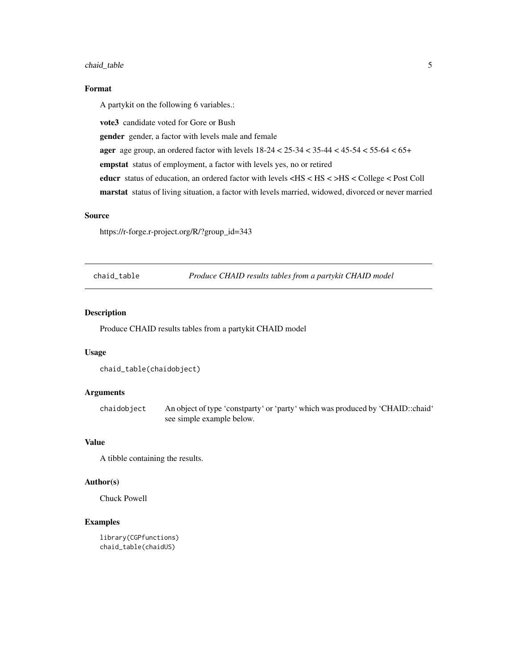#### <span id="page-4-0"></span>chaid\_table 5

## Format

A partykit on the following 6 variables.:

vote3 candidate voted for Gore or Bush

gender gender, a factor with levels male and female

**ager** age group, an ordered factor with levels  $18-24 < 25-34 < 35-44 < 45-54 < 55-64 < 65+$ 

empstat status of employment, a factor with levels yes, no or retired

educr status of education, an ordered factor with levels <HS < HS < >HS < College < Post Coll

marstat status of living situation, a factor with levels married, widowed, divorced or never married

#### Source

https://r-forge.r-project.org/R/?group\_id=343

<span id="page-4-1"></span>chaid\_table *Produce CHAID results tables from a partykit CHAID model*

## Description

Produce CHAID results tables from a partykit CHAID model

#### Usage

```
chaid_table(chaidobject)
```
## Arguments

chaidobject An object of type 'constparty' or 'party' which was produced by 'CHAID::chaid' see simple example below.

#### Value

A tibble containing the results.

## Author(s)

Chuck Powell

```
library(CGPfunctions)
chaid_table(chaidUS)
```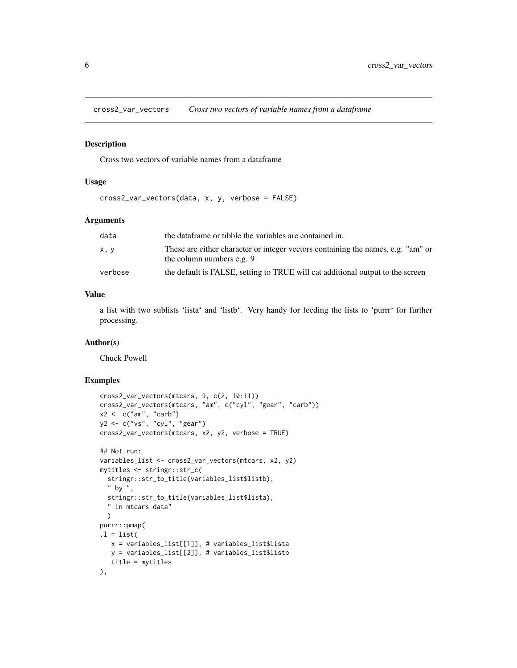<span id="page-5-1"></span><span id="page-5-0"></span>cross2\_var\_vectors *Cross two vectors of variable names from a dataframe*

## Description

Cross two vectors of variable names from a dataframe

#### Usage

cross2\_var\_vectors(data, x, y, verbose = FALSE)

#### Arguments

| data    | the data frame or tibble the variables are contained in.                                                      |
|---------|---------------------------------------------------------------------------------------------------------------|
| x, y    | These are either character or integer vectors containing the names, e.g. "am" or<br>the column numbers e.g. 9 |
| verbose | the default is FALSE, setting to TRUE will cat additional output to the screen                                |

## Value

a list with two sublists 'lista' and 'listb'. Very handy for feeding the lists to 'purrr' for further processing.

## Author(s)

Chuck Powell

```
cross2_var_vectors(mtcars, 9, c(2, 10:11))
cross2_var_vectors(mtcars, "am", c("cyl", "gear", "carb"))
x2 <- c("am", "carb")
y2 <- c("vs", "cyl", "gear")
cross2_var_vectors(mtcars, x2, y2, verbose = TRUE)
## Not run:
variables_list <- cross2_var_vectors(mtcars, x2, y2)
mytitles <- stringr::str_c(
  stringr::str_to_title(variables_list$listb),
  " by ",
  stringr::str_to_title(variables_list$lista),
  " in mtcars data"
  )
purrr::pmap(
.1 = list(x = variables_list[[1]], # variables_list$lista
  y = variables_list[[2]], # variables_list$listb
   title = mytitles
),
```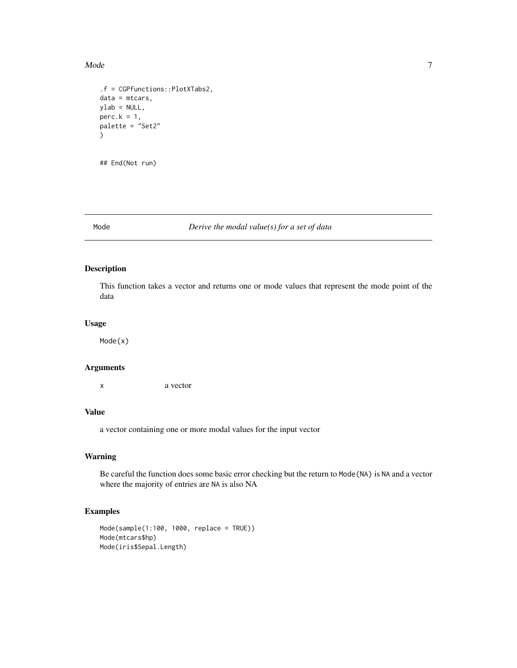#### <span id="page-6-0"></span>Mode 7

```
.f = CGPfunctions::PlotXTabs2,
data = mtcars,
ylab = NULL,
perc.k = 1,palette = "Set2"
\mathcal{L}
```
## End(Not run)

## <span id="page-6-1"></span>Mode *Derive the modal value(s) for a set of data*

## Description

This function takes a vector and returns one or mode values that represent the mode point of the data

#### Usage

Mode(x)

#### Arguments

x a vector

## Value

a vector containing one or more modal values for the input vector

## Warning

Be careful the function does some basic error checking but the return to Mode(NA) is NA and a vector where the majority of entries are NA is also NA

```
Mode(sample(1:100, 1000, replace = TRUE))
Mode(mtcars$hp)
Mode(iris$Sepal.Length)
```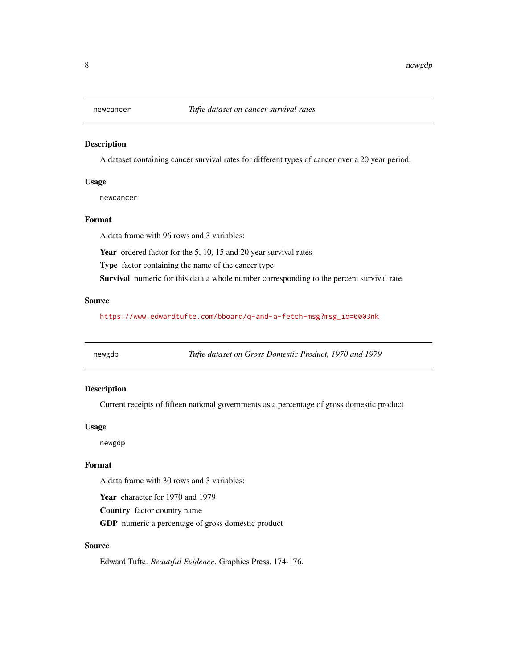<span id="page-7-1"></span><span id="page-7-0"></span>

## Description

A dataset containing cancer survival rates for different types of cancer over a 20 year period.

#### Usage

newcancer

## Format

A data frame with 96 rows and 3 variables:

Year ordered factor for the 5, 10, 15 and 20 year survival rates

Type factor containing the name of the cancer type

Survival numeric for this data a whole number corresponding to the percent survival rate

## Source

[https://www.edwardtufte.com/bboard/q-and-a-fetch-msg?msg\\_id=0003nk](https://www.edwardtufte.com/bboard/q-and-a-fetch-msg?msg_id=0003nk)

<span id="page-7-2"></span>newgdp *Tufte dataset on Gross Domestic Product, 1970 and 1979*

## Description

Current receipts of fifteen national governments as a percentage of gross domestic product

#### Usage

newgdp

## Format

A data frame with 30 rows and 3 variables:

Year character for 1970 and 1979

Country factor country name

GDP numeric a percentage of gross domestic product

#### Source

Edward Tufte. *Beautiful Evidence*. Graphics Press, 174-176.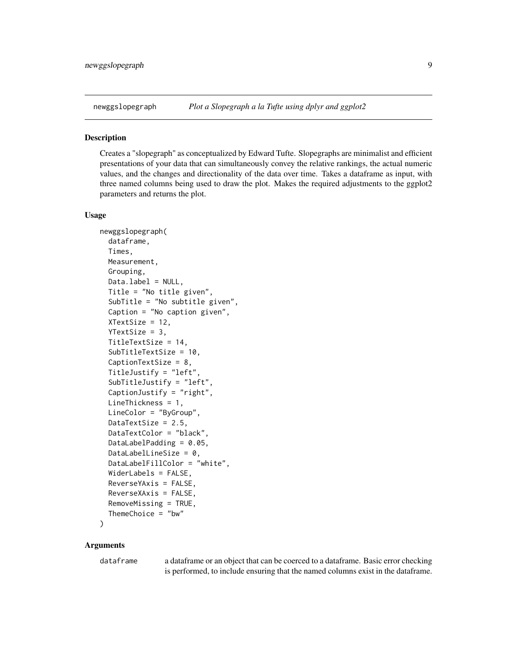<span id="page-8-1"></span><span id="page-8-0"></span>

#### **Description**

Creates a "slopegraph" as conceptualized by Edward Tufte. Slopegraphs are minimalist and efficient presentations of your data that can simultaneously convey the relative rankings, the actual numeric values, and the changes and directionality of the data over time. Takes a dataframe as input, with three named columns being used to draw the plot. Makes the required adjustments to the ggplot2 parameters and returns the plot.

#### Usage

```
newggslopegraph(
  dataframe,
  Times,
 Measurement,
  Grouping,
  Data.label = NULL,
  Title = "No title given",
  SubTitle = "No subtitle given",
  Caption = "No caption given",
  XTextSize = 12,
  YTextSize = 3,
  TitleTextSize = 14,
  SubTitleTextSize = 10,
  CaptionTextSize = 8,
  TitleJustify = "left",
  SubTitleJustify = "left",
  CaptionJustify = "right",
  LineThickness = 1,
 LineColor = "ByGroup",
  DataTextSize = 2.5,
  DataTextColor = "black",
  DataLabelPadding = 0.05,
  DataLabelLineSize = 0,
  DataLabelFillColor = "white",
 WiderLabels = FALSE,
  ReverseYAxis = FALSE,
  ReverseXAxis = FALSE,
  RemoveMissing = TRUE,
  ThemeChoice = "bw"
```

```
\lambda
```
## Arguments

dataframe a dataframe or an object that can be coerced to a dataframe. Basic error checking is performed, to include ensuring that the named columns exist in the dataframe.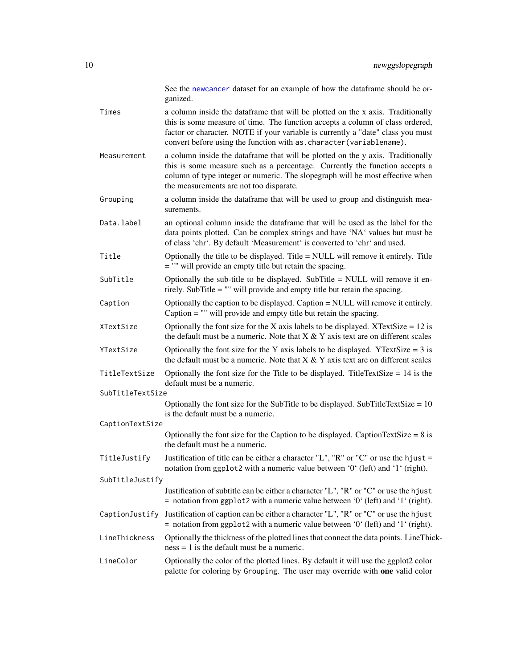<span id="page-9-0"></span>

|                  | See the newcancer dataset for an example of how the dataframe should be or-<br>ganized.                                                                                                                                                                                                                                     |
|------------------|-----------------------------------------------------------------------------------------------------------------------------------------------------------------------------------------------------------------------------------------------------------------------------------------------------------------------------|
| Times            | a column inside the dataframe that will be plotted on the x axis. Traditionally<br>this is some measure of time. The function accepts a column of class ordered,<br>factor or character. NOTE if your variable is currently a "date" class you must<br>convert before using the function with as. character (variablename). |
| Measurement      | a column inside the dataframe that will be plotted on the y axis. Traditionally<br>this is some measure such as a percentage. Currently the function accepts a<br>column of type integer or numeric. The slopegraph will be most effective when<br>the measurements are not too disparate.                                  |
| Grouping         | a column inside the dataframe that will be used to group and distinguish mea-<br>surements.                                                                                                                                                                                                                                 |
| Data.label       | an optional column inside the dataframe that will be used as the label for the<br>data points plotted. Can be complex strings and have 'NA' values but must be<br>of class 'chr'. By default 'Measurement' is converted to 'chr' and used.                                                                                  |
| Title            | Optionally the title to be displayed. Title = NULL will remove it entirely. Title<br>$=$ "" will provide an empty title but retain the spacing.                                                                                                                                                                             |
| SubTitle         | Optionally the sub-title to be displayed. SubTitle = NULL will remove it en-<br>tirely. SubTitle $=$ "" will provide and empty title but retain the spacing.                                                                                                                                                                |
| Caption          | Optionally the caption to be displayed. Caption = NULL will remove it entirely.<br>Caption $=$ "" will provide and empty title but retain the spacing.                                                                                                                                                                      |
| XTextSize        | Optionally the font size for the X axis labels to be displayed. XTextSize = $12$ is<br>the default must be a numeric. Note that $X \& Y$ axis text are on different scales                                                                                                                                                  |
| YTextSize        | Optionally the font size for the Y axis labels to be displayed. YTextSize = $3$ is<br>the default must be a numeric. Note that $X & Y$ axis text are on different scales                                                                                                                                                    |
| TitleTextSize    | Optionally the font size for the Title to be displayed. TitleTextSize = $14$ is the<br>default must be a numeric.                                                                                                                                                                                                           |
| SubTitleTextSize |                                                                                                                                                                                                                                                                                                                             |
| CaptionTextSize  | Optionally the font size for the SubTitle to be displayed. SubTitleTextSize = $10$<br>is the default must be a numeric.                                                                                                                                                                                                     |
|                  | Optionally the font size for the Caption to be displayed. CaptionTextSize = $8$ is<br>the default must be a numeric.                                                                                                                                                                                                        |
| TitleJustify     | Justification of title can be either a character "L", "R" or "C" or use the hjust =<br>notation from ggplot2 with a numeric value between '0' (left) and '1' (right).                                                                                                                                                       |
| SubTitleJustify  |                                                                                                                                                                                                                                                                                                                             |
|                  | Justification of subtitle can be either a character "L", "R" or "C" or use the hjust<br>= notation from ggplot2 with a numeric value between '0' (left) and '1' (right).                                                                                                                                                    |
| CaptionJustify   | Justification of caption can be either a character "L", "R" or "C" or use the hjust<br>= notation from ggplot2 with a numeric value between $0'$ (left) and $1'$ (right).                                                                                                                                                   |
| LineThickness    | Optionally the thickness of the plotted lines that connect the data points. LineThick-<br>$ness = 1$ is the default must be a numeric.                                                                                                                                                                                      |
| LineColor        | Optionally the color of the plotted lines. By default it will use the ggplot2 color<br>palette for coloring by Grouping. The user may override with one valid color                                                                                                                                                         |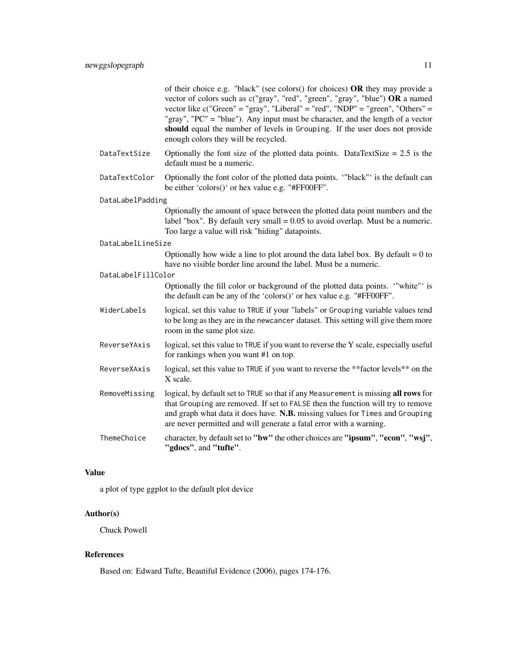|                    | of their choice e.g. "black" (see colors() for choices) OR they may provide a<br>vector of colors such as c("gray", "red", "green", "gray", "blue") OR a named<br>vector like $c("Green" = "gray", "Liberal" = "red", "NDP" = "green", "Others" =$<br>"gray", "PC" = "blue"). Any input must be character, and the length of a vector<br>should equal the number of levels in Grouping. If the user does not provide<br>enough colors they will be recycled. |
|--------------------|--------------------------------------------------------------------------------------------------------------------------------------------------------------------------------------------------------------------------------------------------------------------------------------------------------------------------------------------------------------------------------------------------------------------------------------------------------------|
| DataTextSize       | Optionally the font size of the plotted data points. DataTextSize $= 2.5$ is the<br>default must be a numeric.                                                                                                                                                                                                                                                                                                                                               |
| DataTextColor      | Optionally the font color of the plotted data points. "black" is the default can<br>be either 'colors()' or hex value e.g. "#FF00FF".                                                                                                                                                                                                                                                                                                                        |
| DataLabelPadding   |                                                                                                                                                                                                                                                                                                                                                                                                                                                              |
|                    | Optionally the amount of space between the plotted data point numbers and the<br>label "box". By default very small $= 0.05$ to avoid overlap. Must be a numeric.<br>Too large a value will risk "hiding" datapoints.                                                                                                                                                                                                                                        |
| DataLabelLineSize  |                                                                                                                                                                                                                                                                                                                                                                                                                                                              |
|                    | Optionally how wide a line to plot around the data label box. By default $= 0$ to<br>have no visible border line around the label. Must be a numeric.                                                                                                                                                                                                                                                                                                        |
| DataLabelFillColor |                                                                                                                                                                                                                                                                                                                                                                                                                                                              |
|                    | Optionally the fill color or background of the plotted data points. "white" is<br>the default can be any of the 'colors()' or hex value e.g. "#FF00FF".                                                                                                                                                                                                                                                                                                      |
| WiderLabels        | logical, set this value to TRUE if your "labels" or Grouping variable values tend<br>to be long as they are in the newcancer dataset. This setting will give them more<br>room in the same plot size.                                                                                                                                                                                                                                                        |
| ReverseYAxis       | logical, set this value to TRUE if you want to reverse the Y scale, especially useful<br>for rankings when you want #1 on top.                                                                                                                                                                                                                                                                                                                               |
| ReverseXAxis       | logical, set this value to TRUE if you want to reverse the **factor levels** on the<br>X scale.                                                                                                                                                                                                                                                                                                                                                              |
| RemoveMissing      | logical, by default set to TRUE so that if any Measurement is missing all rows for<br>that Grouping are removed. If set to FALSE then the function will try to remove<br>and graph what data it does have. N.B. missing values for Times and Grouping<br>are never permitted and will generate a fatal error with a warning.                                                                                                                                 |
| ThemeChoice        | character, by default set to "bw" the other choices are "ipsum", "econ", "wsj",<br>"gdocs", and "tufte".                                                                                                                                                                                                                                                                                                                                                     |

## Value

a plot of type ggplot to the default plot device

## Author(s)

Chuck Powell

## References

Based on: Edward Tufte, Beautiful Evidence (2006), pages 174-176.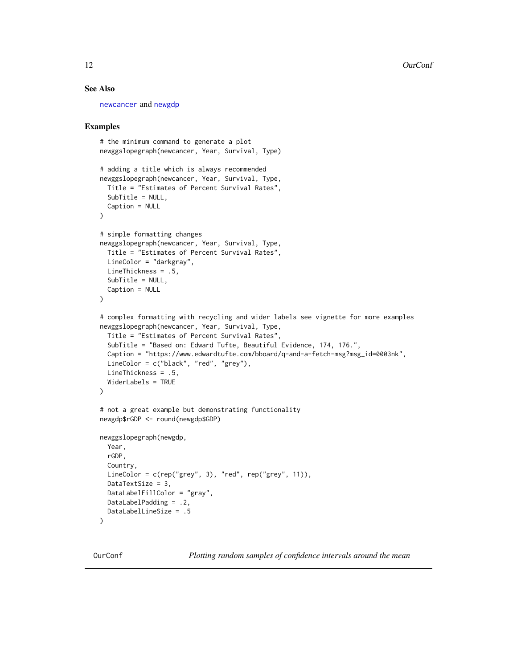#### <span id="page-11-0"></span>See Also

[newcancer](#page-7-1) and [newgdp](#page-7-2)

#### Examples

```
# the minimum command to generate a plot
newggslopegraph(newcancer, Year, Survival, Type)
# adding a title which is always recommended
newggslopegraph(newcancer, Year, Survival, Type,
 Title = "Estimates of Percent Survival Rates",
 SubTitle = NULL,
 Caption = NULL
\mathcal{L}# simple formatting changes
newggslopegraph(newcancer, Year, Survival, Type,
 Title = "Estimates of Percent Survival Rates",
 LineColor = "darkgray",
 LineThickness = .5,
 SubTitle = NULL,
 Caption = NULL
)
# complex formatting with recycling and wider labels see vignette for more examples
newggslopegraph(newcancer, Year, Survival, Type,
 Title = "Estimates of Percent Survival Rates",
 SubTitle = "Based on: Edward Tufte, Beautiful Evidence, 174, 176.",
 Caption = "https://www.edwardtufte.com/bboard/q-and-a-fetch-msg?msg_id=0003nk",
 LineColor = c("black", "red", "grey"),
 LineThickness = .5,
 WiderLabels = TRUE
)
# not a great example but demonstrating functionality
newgdp$rGDP <- round(newgdp$GDP)
newggslopegraph(newgdp,
 Year,
 rGDP,
 Country,
 LineColor = c(rep("grey", 3), "red", rep("grey", 11)),
 DataTextSize = 3,
 DataLabelFillColor = "gray",
 DataLabelPadding = .2,
 DataLabelLineSize = .5
```
)

<span id="page-11-1"></span>OurConf *Plotting random samples of confidence intervals around the mean*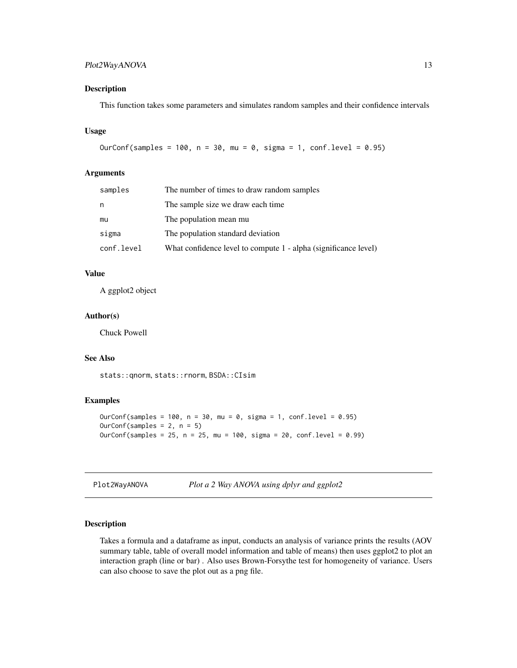## <span id="page-12-0"></span>Plot2WayANOVA 13

#### Description

This function takes some parameters and simulates random samples and their confidence intervals

#### Usage

```
OurConf(samples = 100, n = 30, mu = 0, sigma = 1, conf.level = 0.95)
```
#### Arguments

| samples    | The number of times to draw random samples                      |
|------------|-----------------------------------------------------------------|
| n          | The sample size we draw each time                               |
| mu         | The population mean mu                                          |
| sigma      | The population standard deviation                               |
| conf.level | What confidence level to compute 1 - alpha (significance level) |

## Value

A ggplot2 object

#### Author(s)

Chuck Powell

#### See Also

stats::qnorm, stats::rnorm, BSDA::CIsim

#### Examples

```
OurConf(samples = 100, n = 30, mu = 0, sigma = 1, conf.level = 0.95)
OurConf(samples = 2, n = 5)
OurConf(samples = 25, n = 25, mu = 100, sigma = 20, conf.level = 0.99)
```
<span id="page-12-1"></span>Plot2WayANOVA *Plot a 2 Way ANOVA using dplyr and ggplot2*

## Description

Takes a formula and a dataframe as input, conducts an analysis of variance prints the results (AOV summary table, table of overall model information and table of means) then uses ggplot2 to plot an interaction graph (line or bar) . Also uses Brown-Forsythe test for homogeneity of variance. Users can also choose to save the plot out as a png file.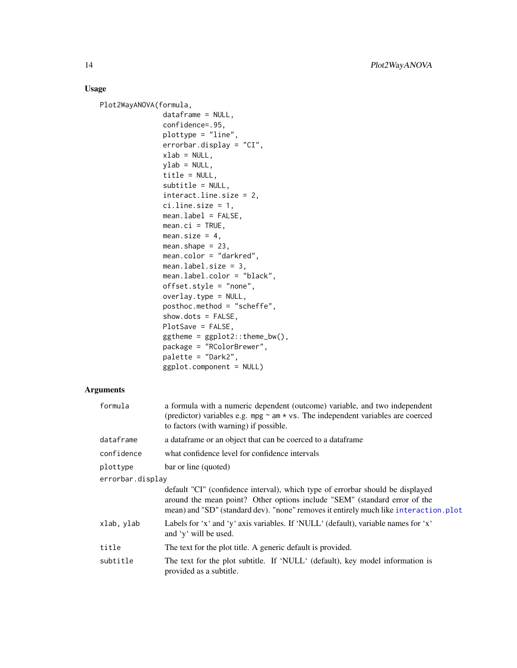## <span id="page-13-0"></span>Usage

```
Plot2WayANOVA(formula,
               dataframe = NULL,
               confidence=.95,
               plottype = "line",
               errorbar.display = "CI",
               xlab = NULL,ylab = NULL,title = NULL,
               subtitle = NULL,
               interact.line.size = 2,
               ci.line.size = 1,
               mean.label = FALSE,
               mean.ci = TRUE,mean.size = 4,
               mean.shape = 23,
               mean.color = "darkred",
               mean.label.size = 3,
               mean.label.color = "black",
               offset.style = "none",
               overlay.type = NULL,
               posthoc.method = "scheffe",
               show.dots = FALSE,
               PlotSave = FALSE,
               ggthene = ggplot2::thene_bw(),package = "RColorBrewer",
               palette = "Dark2",
               ggplot.component = NULL)
```
## Arguments

| formula          | a formula with a numeric dependent (outcome) variable, and two independent<br>(predictor) variables e.g. mpg $\sim$ am $\star$ vs. The independent variables are coerced<br>to factors (with warning) if possible.                                  |  |
|------------------|-----------------------------------------------------------------------------------------------------------------------------------------------------------------------------------------------------------------------------------------------------|--|
| dataframe        | a data frame or an object that can be coerced to a data frame                                                                                                                                                                                       |  |
| confidence       | what confidence level for confidence intervals                                                                                                                                                                                                      |  |
| plottype         | bar or line (quoted)                                                                                                                                                                                                                                |  |
| errorbar.display |                                                                                                                                                                                                                                                     |  |
|                  | default "CI" (confidence interval), which type of errorbar should be displayed<br>around the mean point? Other options include "SEM" (standard error of the<br>mean) and "SD" (standard dev). "none" removes it entirely much like interaction.plot |  |
| xlab, ylab       | Labels for 'x' and 'y' axis variables. If 'NULL' (default), variable names for 'x'<br>and 'y' will be used.                                                                                                                                         |  |
| title            | The text for the plot title. A generic default is provided.                                                                                                                                                                                         |  |
| subtitle         | The text for the plot subtitle. If 'NULL' (default), key model information is<br>provided as a subtitle.                                                                                                                                            |  |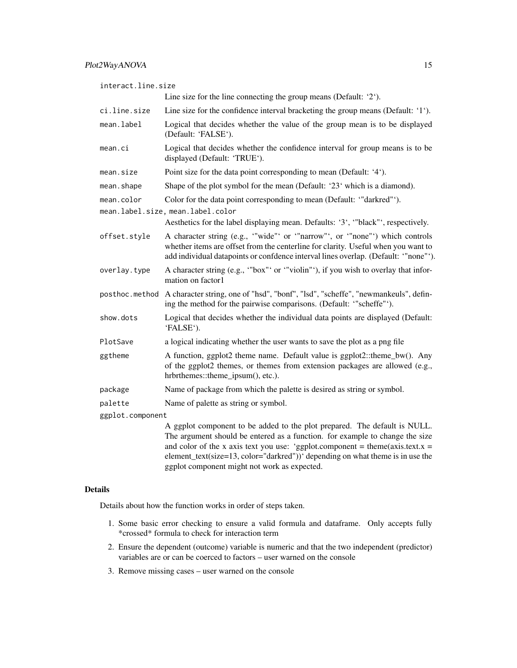interact.line.size

Line size for the line connecting the group means (Default: '2').

- ci.line.size Line size for the confidence interval bracketing the group means (Default: '1').
- mean.label Logical that decides whether the value of the group mean is to be displayed (Default: 'FALSE').
- mean.ci Logical that decides whether the confidence interval for group means is to be displayed (Default: 'TRUE').
- mean.size Point size for the data point corresponding to mean (Default: '4').
- mean. shape Shape of the plot symbol for the mean (Default: '23' which is a diamond).
- mean.color Color for the data point corresponding to mean (Default: "darkred"').
- mean.label.size, mean.label.color
	- Aesthetics for the label displaying mean. Defaults: '3', '"black"', respectively.
- offset.style A character string (e.g., '"wide"' or '"narrow"', or '"none"') which controls whether items are offset from the centerline for clarity. Useful when you want to add individual datapoints or confdence interval lines overlap. (Default: '"none"').
- overlay.type A character string (e.g., '"box"' or '"violin"'), if you wish to overlay that information on factor1
- posthoc.method A character string, one of "hsd", "bonf", "lsd", "scheffe", "newmankeuls", defining the method for the pairwise comparisons. (Default: '"scheffe"').
- show.dots Logical that decides whether the individual data points are displayed (Default: 'FALSE').
- PlotSave a logical indicating whether the user wants to save the plot as a png file
- ggtheme A function, ggplot2 theme name. Default value is  $ggplot2::them\_bw()$ . Any of the ggplot2 themes, or themes from extension packages are allowed (e.g., hrbrthemes::theme\_ipsum(), etc.).
- package Name of package from which the palette is desired as string or symbol.
- palette Name of palette as string or symbol.

ggplot.component

A ggplot component to be added to the plot prepared. The default is NULL. The argument should be entered as a function. for example to change the size and color of the x axis text you use: 'ggplot.component = theme(axis.text.x = element\_text(size=13, color="darkred"))' depending on what theme is in use the ggplot component might not work as expected.

#### Details

Details about how the function works in order of steps taken.

- 1. Some basic error checking to ensure a valid formula and dataframe. Only accepts fully \*crossed\* formula to check for interaction term
- 2. Ensure the dependent (outcome) variable is numeric and that the two independent (predictor) variables are or can be coerced to factors – user warned on the console
- 3. Remove missing cases user warned on the console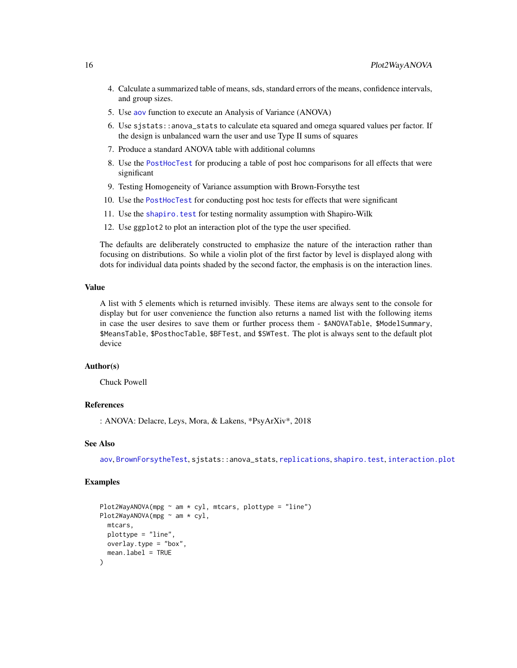- <span id="page-15-0"></span>4. Calculate a summarized table of means, sds, standard errors of the means, confidence intervals, and group sizes.
- 5. Use [aov](#page-0-0) function to execute an Analysis of Variance (ANOVA)
- 6. Use sjstats::anova\_stats to calculate eta squared and omega squared values per factor. If the design is unbalanced warn the user and use Type II sums of squares
- 7. Produce a standard ANOVA table with additional columns
- 8. Use the [PostHocTest](#page-0-0) for producing a table of post hoc comparisons for all effects that were significant
- 9. Testing Homogeneity of Variance assumption with Brown-Forsythe test
- 10. Use the [PostHocTest](#page-0-0) for conducting post hoc tests for effects that were significant
- 11. Use the [shapiro.test](#page-0-0) for testing normality assumption with Shapiro-Wilk
- 12. Use ggplot2 to plot an interaction plot of the type the user specified.

The defaults are deliberately constructed to emphasize the nature of the interaction rather than focusing on distributions. So while a violin plot of the first factor by level is displayed along with dots for individual data points shaded by the second factor, the emphasis is on the interaction lines.

#### Value

A list with 5 elements which is returned invisibly. These items are always sent to the console for display but for user convenience the function also returns a named list with the following items in case the user desires to save them or further process them - \$ANOVATable, \$ModelSummary, \$MeansTable, \$PosthocTable, \$BFTest, and \$SWTest. The plot is always sent to the default plot device

## Author(s)

Chuck Powell

## References

: ANOVA: Delacre, Leys, Mora, & Lakens, \*PsyArXiv\*, 2018

#### See Also

[aov](#page-0-0), [BrownForsytheTest](#page-0-0), sjstats::anova\_stats, [replications](#page-0-0), [shapiro.test](#page-0-0), [interaction.plot](#page-0-0)

```
Plot2WayANOVA(mpg \sim am \star cyl, mtcars, plottype = "line")
Plot2WayANOVA(mpg ~ am * cyl,
  mtcars,
  plottype = "line",
  overlay.type = "box",
  mean.label = TRUE
)
```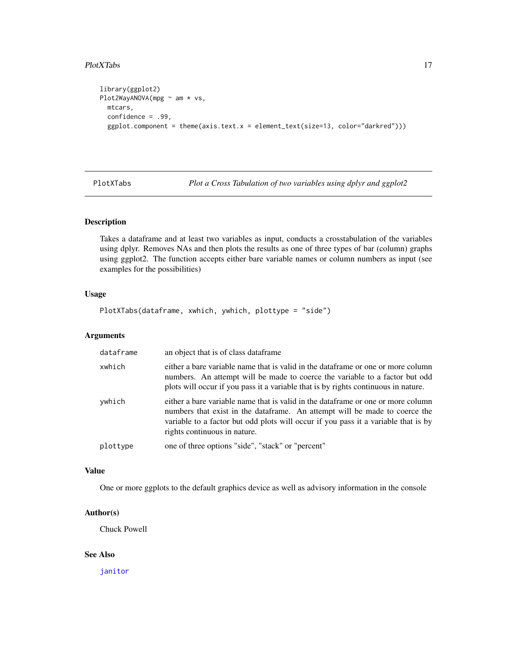#### <span id="page-16-0"></span>PlotXTabs 17

```
library(ggplot2)
Plot2WayANOVA(mpg ~ am * vs,
  mtcars,
  confidence = .99,
  ggplot.component = theme(axis.text.x = element_text(size=13, color="darkred")))
```
<span id="page-16-1"></span>PlotXTabs *Plot a Cross Tabulation of two variables using dplyr and ggplot2*

## Description

Takes a dataframe and at least two variables as input, conducts a crosstabulation of the variables using dplyr. Removes NAs and then plots the results as one of three types of bar (column) graphs using ggplot2. The function accepts either bare variable names or column numbers as input (see examples for the possibilities)

#### Usage

```
PlotXTabs(dataframe, xwhich, ywhich, plottype = "side")
```
#### Arguments

| dataframe | an object that is of class data frame                                                                                                                                                                                                                                                |
|-----------|--------------------------------------------------------------------------------------------------------------------------------------------------------------------------------------------------------------------------------------------------------------------------------------|
| xwhich    | either a bare variable name that is valid in the dataframe or one or more column<br>numbers. An attempt will be made to coerce the variable to a factor but odd<br>plots will occur if you pass it a variable that is by rights continuous in nature.                                |
| ywhich    | either a bare variable name that is valid in the dataframe or one or more column<br>numbers that exist in the dataframe. An attempt will be made to coerce the<br>variable to a factor but odd plots will occur if you pass it a variable that is by<br>rights continuous in nature. |
| plottype  | one of three options "side", "stack" or "percent"                                                                                                                                                                                                                                    |

## Value

One or more ggplots to the default graphics device as well as advisory information in the console

## Author(s)

Chuck Powell

#### See Also

[janitor](#page-0-0)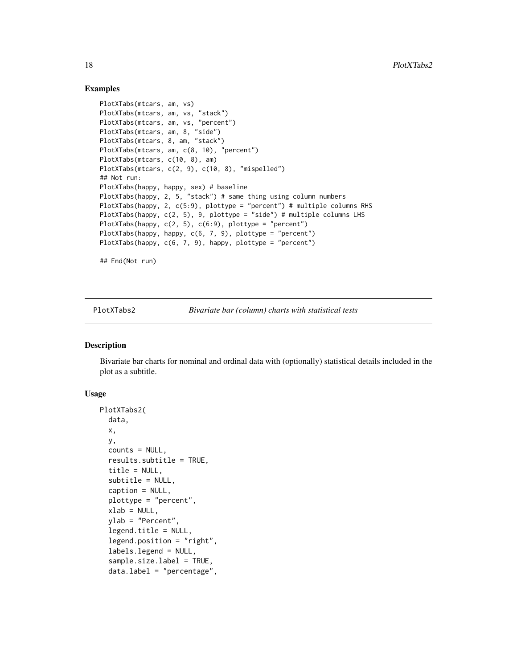## Examples

```
PlotXTabs(mtcars, am, vs)
PlotXTabs(mtcars, am, vs, "stack")
PlotXTabs(mtcars, am, vs, "percent")
PlotXTabs(mtcars, am, 8, "side")
PlotXTabs(mtcars, 8, am, "stack")
PlotXTabs(mtcars, am, c(8, 10), "percent")
PlotXTabs(mtcars, c(10, 8), am)
PlotXTabs(mtcars, c(2, 9), c(10, 8), "mispelled")
## Not run:
PlotXTabs(happy, happy, sex) # baseline
PlotXTabs(happy, 2, 5, "stack") # same thing using column numbers
PlotXTabs(happy, 2, c(5:9), plottype = "percent") # multiple columns RHS
PlotXTabs(happy, c(2, 5), 9, plottype = "side") # multiple columns LHS
PlotXTabs(happy, c(2, 5), c(6:9), plottype = "percent")
PlotXTabs(happy, happy, c(6, 7, 9), plottype = "percent")
PlotXTabs(happy, c(6, 7, 9), happy, plottype = "percent")
## End(Not run)
```
<span id="page-17-1"></span>PlotXTabs2 *Bivariate bar (column) charts with statistical tests*

#### Description

Bivariate bar charts for nominal and ordinal data with (optionally) statistical details included in the plot as a subtitle.

#### Usage

```
PlotXTabs2(
  data,
  x,
  y,
  counts = NULL,
  results.subtitle = TRUE,
  title = NULL,
  subtitle = NULL,
  caption = NULL,
  plottype = "percent",
  xlab = NULL,
  ylab = "Percent",
  legend.title = NULL,
  legend.position = "right",
  labels.legend = NULL,
  sample.size.label = TRUE,
  data.label = "percentage",
```
<span id="page-17-0"></span>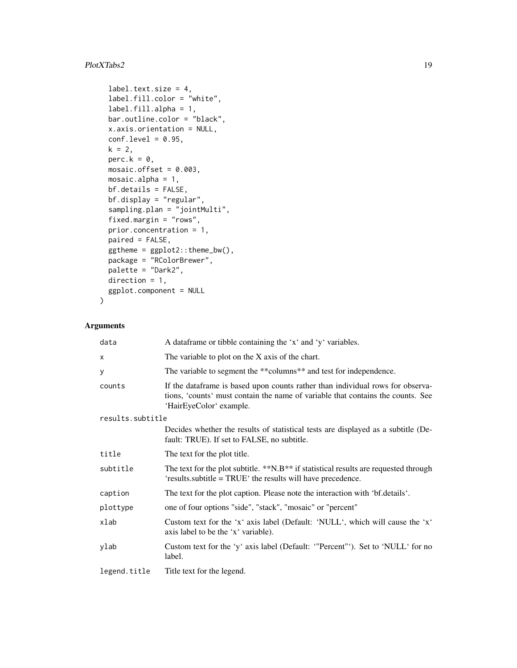## PlotXTabs2 19

```
label.text.size = 4,
label.fill.color = "white",
label.fill.alpha = 1,
bar.outline.color = "black",
x.axis.orientation = NULL,
conf.level = 0.95,k = 2,perc.k = \theta,
mosaic.offset = 0.003,
mosaic.alpha = 1,
bf.details = FALSE,
bf.display = "regular",
sampling.plan = "jointMulti",
fixed.margin = "rows",
prior.concentration = 1,
paired = FALSE,ggtheme = ggplot2::theme_bw(),
package = "RColorBrewer",
palette = "Dark2",
direction = 1,
ggplot.component = NULL
```
## Arguments

 $\mathcal{L}$ 

| data             | A data frame or tibble containing the 'x' and 'y' variables.                                                                                                                                 |
|------------------|----------------------------------------------------------------------------------------------------------------------------------------------------------------------------------------------|
| $\times$         | The variable to plot on the X axis of the chart.                                                                                                                                             |
| У                | The variable to segment the **columns** and test for independence.                                                                                                                           |
| counts           | If the dataframe is based upon counts rather than individual rows for observa-<br>tions, 'counts' must contain the name of variable that contains the counts. See<br>'HairEyeColor' example. |
| results.subtitle |                                                                                                                                                                                              |
|                  | Decides whether the results of statistical tests are displayed as a subtitle (De-<br>fault: TRUE). If set to FALSE, no subtitle.                                                             |
| title            | The text for the plot title.                                                                                                                                                                 |
| subtitle         | The text for the plot subtitle. **N.B** if statistical results are requested through<br>'results.subtitle = TRUE' the results will have precedence.                                          |
| caption          | The text for the plot caption. Please note the interaction with 'bf.details'.                                                                                                                |
| plottype         | one of four options "side", "stack", "mosaic" or "percent"                                                                                                                                   |
| xlab             | Custom text for the 'x' axis label (Default: 'NULL', which will cause the 'x'<br>axis label to be the 'x' variable).                                                                         |
| ylab             | Custom text for the 'y' axis label (Default: "Percent"'). Set to 'NULL' for no<br>label.                                                                                                     |
| legend.title     | Title text for the legend.                                                                                                                                                                   |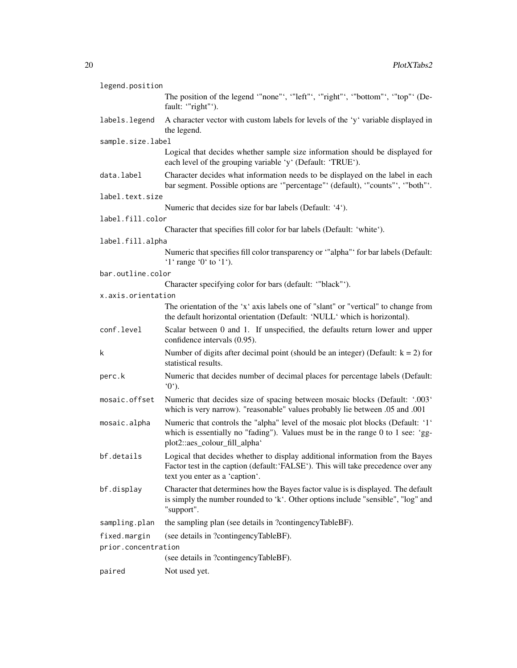| legend.position     |                                                                                                                                                                                                      |
|---------------------|------------------------------------------------------------------------------------------------------------------------------------------------------------------------------------------------------|
|                     | The position of the legend "none"', "left"', "right"', "bottom"', "top"' (De-<br>fault: "right"').                                                                                                   |
| labels.legend       | A character vector with custom labels for levels of the 'y' variable displayed in<br>the legend.                                                                                                     |
| sample.size.label   |                                                                                                                                                                                                      |
|                     | Logical that decides whether sample size information should be displayed for<br>each level of the grouping variable 'y' (Default: 'TRUE').                                                           |
| data.label          | Character decides what information needs to be displayed on the label in each<br>bar segment. Possible options are "percentage" (default), "counts", "both".                                         |
| label.text.size     |                                                                                                                                                                                                      |
|                     | Numeric that decides size for bar labels (Default: '4').                                                                                                                                             |
| label.fill.color    |                                                                                                                                                                                                      |
|                     | Character that specifies fill color for bar labels (Default: 'white').                                                                                                                               |
| label.fill.alpha    |                                                                                                                                                                                                      |
|                     | Numeric that specifies fill color transparency or "alpha" for bar labels (Default:<br>'1' range '0' to '1').                                                                                         |
| bar.outline.color   |                                                                                                                                                                                                      |
|                     | Character specifying color for bars (default: "black"').                                                                                                                                             |
| x.axis.orientation  |                                                                                                                                                                                                      |
|                     | The orientation of the 'x' axis labels one of "slant" or "vertical" to change from<br>the default horizontal orientation (Default: 'NULL' which is horizontal).                                      |
| conf.level          | Scalar between 0 and 1. If unspecified, the defaults return lower and upper<br>confidence intervals (0.95).                                                                                          |
| k                   | Number of digits after decimal point (should be an integer) (Default: $k = 2$ ) for<br>statistical results.                                                                                          |
| perc.k              | Numeric that decides number of decimal places for percentage labels (Default:<br>$^{\circ}0^{\circ}$ ).                                                                                              |
| mosaic.offset       | Numeric that decides size of spacing between mosaic blocks (Default: '.003'<br>which is very narrow). "reasonable" values probably lie between .05 and .001                                          |
| mosaic.alpha        | Numeric that controls the "alpha" level of the mosaic plot blocks (Default: '1'<br>which is essentially no "fading"). Values must be in the range 0 to 1 see: 'gg-<br>plot2::aes_colour_fill_alpha'  |
| bf.details          | Logical that decides whether to display additional information from the Bayes<br>Factor test in the caption (default: 'FALSE'). This will take precedence over any<br>text you enter as a 'caption'. |
| bf.display          | Character that determines how the Bayes factor value is is displayed. The default<br>is simply the number rounded to 'k'. Other options include "sensible", "log" and<br>"support".                  |
| sampling.plan       | the sampling plan (see details in ?contingencyTableBF).                                                                                                                                              |
| fixed.margin        | (see details in ?contingencyTableBF).                                                                                                                                                                |
| prior.concentration |                                                                                                                                                                                                      |
|                     | (see details in ?contingencyTableBF).                                                                                                                                                                |
| paired              | Not used yet.                                                                                                                                                                                        |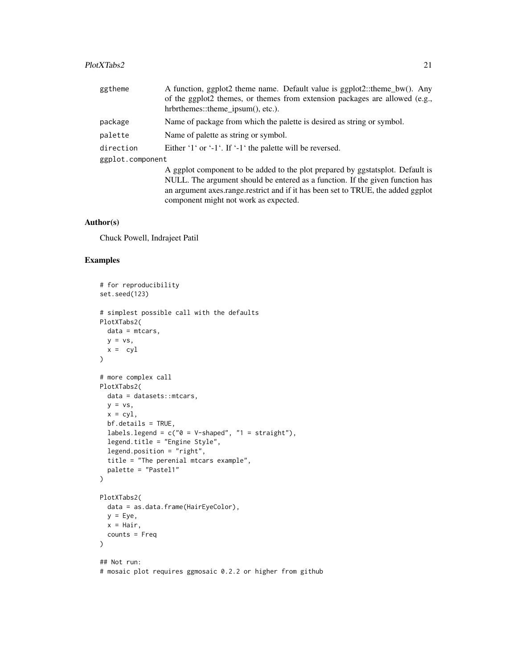#### PlotXTabs2 21

| ggtheme          | A function, ggplot2 theme name. Default value is ggplot2::theme_bw(). Any      |
|------------------|--------------------------------------------------------------------------------|
|                  | of the ggplot2 themes, or themes from extension packages are allowed (e.g.,    |
|                  | hrbrthemes::theme_ipsum(), etc.).                                              |
| package          | Name of package from which the palette is desired as string or symbol.         |
| palette          | Name of palette as string or symbol.                                           |
| direction        | Either '1' or '-1'. If '-1' the palette will be reversed.                      |
| ggplot.component |                                                                                |
|                  | A ggplot component to be added to the plot prepared by ggstatsplot. Default is |

NULL. The argument should be entered as a function. If the given function has an argument axes.range.restrict and if it has been set to TRUE, the added ggplot component might not work as expected.

## Author(s)

Chuck Powell, Indrajeet Patil

```
# for reproducibility
set.seed(123)
# simplest possible call with the defaults
PlotXTabs2(
 data = mtcars,
 y = vs,x = cv1\lambda# more complex call
PlotXTabs2(
 data = datasets::mtcars,
  y = vs,x = cy1,
  bf.details = TRUE,
  labels.legend = c("0 = V-shaped", "1 = straight"),
  legend.title = "Engine Style",
  legend.position = "right",
  title = "The perenial mtcars example",
  palette = "Pastel1"
\lambdaPlotXTabs2(
  data = as.data.frame(HairEyeColor),
  y = Eye,
  x = \text{Hair},
  counts = Freq
\lambda## Not run:
```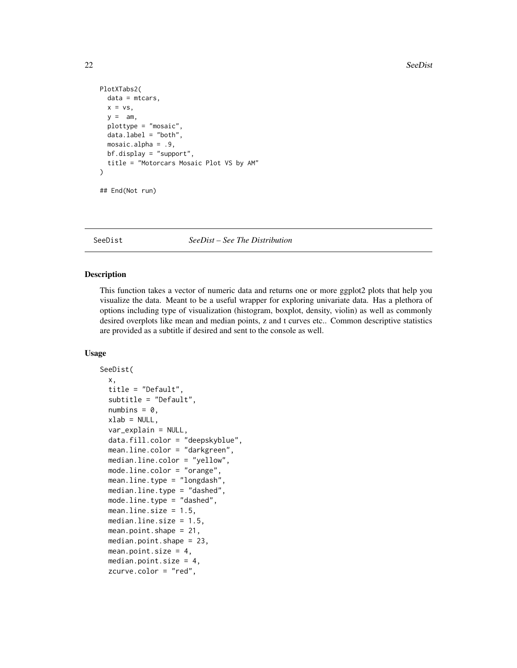```
PlotXTabs2(
  data = mtcars,
  x = vs,y = am,
  plottype = "mosaic",
  data.label = "both",
  mosaic.alpha = .9,
  bf.display = "support",
  title = "Motorcars Mosaic Plot VS by AM"
\mathcal{L}## End(Not run)
```
<span id="page-21-1"></span>

#### SeeDist *SeeDist – See The Distribution*

## Description

This function takes a vector of numeric data and returns one or more ggplot2 plots that help you visualize the data. Meant to be a useful wrapper for exploring univariate data. Has a plethora of options including type of visualization (histogram, boxplot, density, violin) as well as commonly desired overplots like mean and median points, z and t curves etc.. Common descriptive statistics are provided as a subtitle if desired and sent to the console as well.

#### Usage

```
SeeDist(
  x,
  title = "Default",
  subtitle = "Default",
  numbins = 0,
  xlab = NULL,
  var_explain = NULL,
  data.fill.color = "deepskyblue",
 mean.line.color = "darkgreen",
 median.line.color = "yellow",
 mode.line.color = "orange",
 mean.line.type = "longdash"
 median.line.type = "dashed",
 mode.line.type = "dashed",
 mean.line.size = 1.5,
 median.line.size = 1.5,
 mean.point.shape = 21,
 median.point.shape = 23,
 mean.point.size = 4,
  median.point.size = 4,
  zcurve.color = "red",
```
<span id="page-21-0"></span>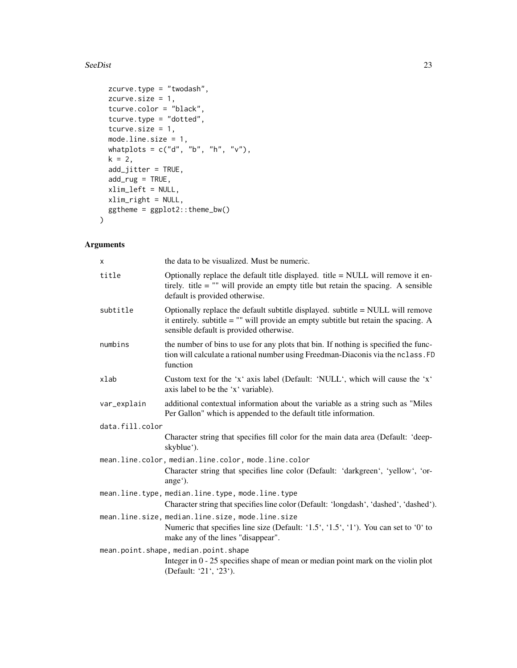#### SeeDist 23

```
zcurve.type = "twodash",
 zcurve.size = 1,
 tcurve.color = "black",
 tcurve.type = "dotted",
 tcurve.size = 1,
 mode.line.size = 1,
 whatplots = c("d", "b", "h", "v"),
 k = 2,add_jitter = TRUE,
 add_rug = TRUE,xlim_left = NULL,
 xlim_right = NULL,
 ggtheme = ggplot2::theme_bw()
)
```
## Arguments

| X               | the data to be visualized. Must be numeric.                                                                                                                                                                        |
|-----------------|--------------------------------------------------------------------------------------------------------------------------------------------------------------------------------------------------------------------|
| title           | Optionally replace the default title displayed. title $=$ NULL will remove it en-<br>tirely. title $=$ "" will provide an empty title but retain the spacing. A sensible<br>default is provided otherwise.         |
| subtitle        | Optionally replace the default subtitle displayed. subtitle = NULL will remove<br>it entirely. subtitle $=$ "" will provide an empty subtitle but retain the spacing. A<br>sensible default is provided otherwise. |
| numbins         | the number of bins to use for any plots that bin. If nothing is specified the func-<br>tion will calculate a rational number using Freedman-Diaconis via the nclass. FD<br>function                                |
| xlab            | Custom text for the 'x' axis label (Default: 'NULL', which will cause the 'x'<br>axis label to be the 'x' variable).                                                                                               |
| var_explain     | additional contextual information about the variable as a string such as "Miles"<br>Per Gallon" which is appended to the default title information.                                                                |
| data.fill.color |                                                                                                                                                                                                                    |
|                 | Character string that specifies fill color for the main data area (Default: 'deep-<br>skyblue').                                                                                                                   |
|                 | mean.line.color, median.line.color, mode.line.color                                                                                                                                                                |
|                 | Character string that specifies line color (Default: 'darkgreen', 'yellow', 'or-<br>ange').                                                                                                                        |
|                 | mean.line.type, median.line.type, mode.line.type                                                                                                                                                                   |
|                 | Character string that specifies line color (Default: 'longdash', 'dashed', 'dashed').                                                                                                                              |
|                 | mean.line.size, median.line.size, mode.line.size                                                                                                                                                                   |
|                 | Numeric that specifies line size (Default: '1.5', '1.5', '1'). You can set to '0' to<br>make any of the lines "disappear".                                                                                         |
|                 | mean.point.shape, median.point.shape                                                                                                                                                                               |
|                 | Integer in $0 - 25$ specifies shape of mean or median point mark on the violin plot<br>(Default: '21', '23').                                                                                                      |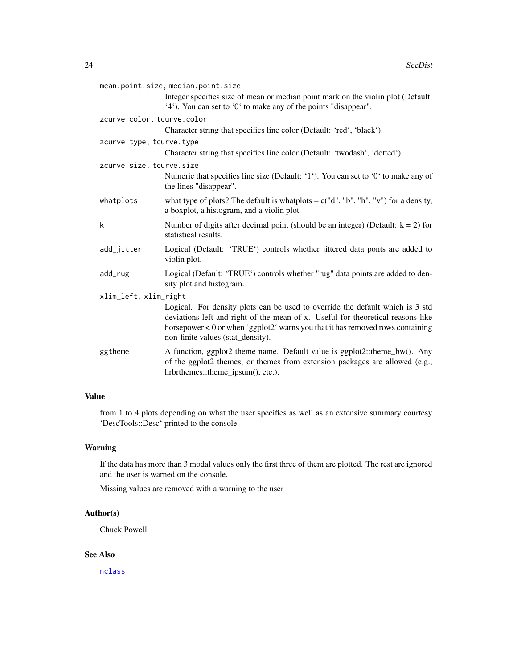<span id="page-23-0"></span>

| mean.point.size, median.point.size |                                                                                                                                                                                                                                                                                         |
|------------------------------------|-----------------------------------------------------------------------------------------------------------------------------------------------------------------------------------------------------------------------------------------------------------------------------------------|
|                                    | Integer specifies size of mean or median point mark on the violin plot (Default:<br>'4'). You can set to '0' to make any of the points "disappear".                                                                                                                                     |
| zcurve.color, tcurve.color         |                                                                                                                                                                                                                                                                                         |
|                                    | Character string that specifies line color (Default: 'red', 'black').                                                                                                                                                                                                                   |
| zcurve.type, tcurve.type           |                                                                                                                                                                                                                                                                                         |
|                                    | Character string that specifies line color (Default: 'twodash', 'dotted').                                                                                                                                                                                                              |
| zcurve.size, tcurve.size           |                                                                                                                                                                                                                                                                                         |
|                                    | Numeric that specifies line size (Default: '1'). You can set to '0' to make any of<br>the lines "disappear".                                                                                                                                                                            |
| whatplots                          | what type of plots? The default is whatplots = $c("d", "b", "h", "v")$ for a density,<br>a boxplot, a histogram, and a violin plot                                                                                                                                                      |
| k                                  | Number of digits after decimal point (should be an integer) (Default: $k = 2$ ) for<br>statistical results.                                                                                                                                                                             |
| add_jitter                         | Logical (Default: 'TRUE') controls whether jittered data ponts are added to<br>violin plot.                                                                                                                                                                                             |
| add_rug                            | Logical (Default: 'TRUE') controls whether "rug" data points are added to den-<br>sity plot and histogram.                                                                                                                                                                              |
| xlim_left, xlim_right              |                                                                                                                                                                                                                                                                                         |
|                                    | Logical. For density plots can be used to override the default which is 3 std<br>deviations left and right of the mean of x. Useful for theoretical reasons like<br>horsepower < 0 or when 'ggplot2' warns you that it has removed rows containing<br>non-finite values (stat_density). |
| ggtheme                            | A function, ggplot2 theme name. Default value is ggplot2::theme_bw(). Any<br>of the ggplot2 themes, or themes from extension packages are allowed (e.g.,<br>hrbrthemes::theme_ipsum(), etc.).                                                                                           |

## Value

from 1 to 4 plots depending on what the user specifies as well as an extensive summary courtesy 'DescTools::Desc' printed to the console

## Warning

If the data has more than 3 modal values only the first three of them are plotted. The rest are ignored and the user is warned on the console.

Missing values are removed with a warning to the user

## Author(s)

Chuck Powell

## See Also

[nclass](#page-0-0)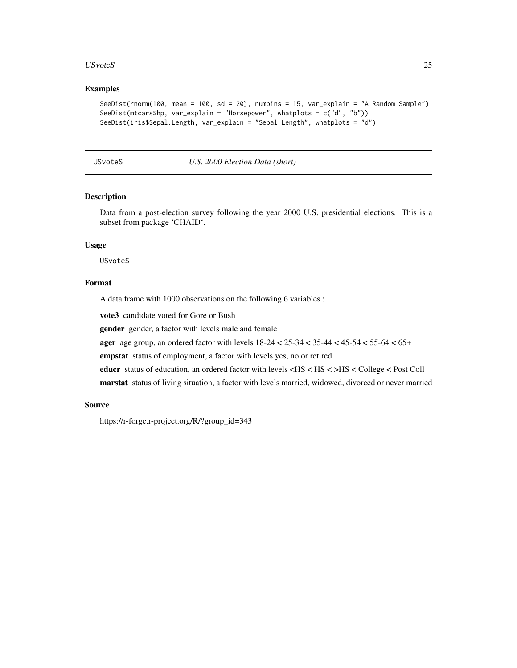#### <span id="page-24-0"></span>USvoteS 25

#### Examples

```
SeeDist(rnorm(100, mean = 100, sd = 20), numbins = 15, var_explain = "A Random Sample")
SeeDist(mtcars$hp, var_explain = "Horsepower", whatplots = c("d", "b"))
SeeDist(iris$Sepal.Length, var_explain = "Sepal Length", whatplots = "d")
```
USvoteS *U.S. 2000 Election Data (short)*

## Description

Data from a post-election survey following the year 2000 U.S. presidential elections. This is a subset from package 'CHAID'.

## Usage

USvoteS

## Format

A data frame with 1000 observations on the following 6 variables.:

vote3 candidate voted for Gore or Bush

gender gender, a factor with levels male and female

ager age group, an ordered factor with levels 18-24 < 25-34 < 35-44 < 45-54 < 55-64 < 65+

empstat status of employment, a factor with levels yes, no or retired

educr status of education, an ordered factor with levels <HS < HS < >HS < College < Post Coll

marstat status of living situation, a factor with levels married, widowed, divorced or never married

#### Source

https://r-forge.r-project.org/R/?group\_id=343